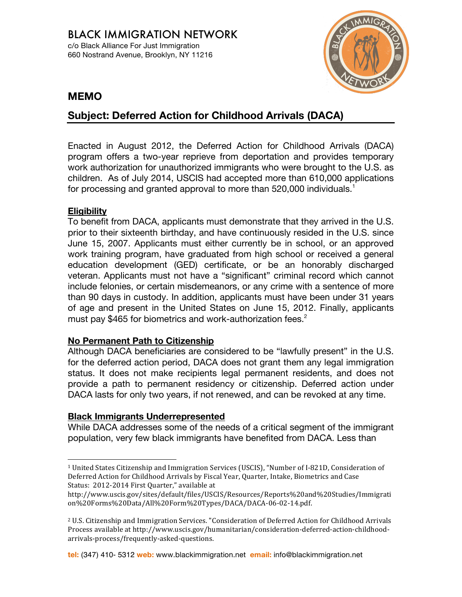

# **MEMO**

# **Subject: Deferred Action for Childhood Arrivals (DACA)**

Enacted in August 2012, the Deferred Action for Childhood Arrivals (DACA) program offers a two-year reprieve from deportation and provides temporary work authorization for unauthorized immigrants who were brought to the U.S. as children. As of July 2014, USCIS had accepted more than 610,000 applications for processing and granted approval to more than 520,000 individuals.<sup>1</sup>

### **Eligibility**

To benefit from DACA, applicants must demonstrate that they arrived in the U.S. prior to their sixteenth birthday, and have continuously resided in the U.S. since June 15, 2007. Applicants must either currently be in school, or an approved work training program, have graduated from high school or received a general education development (GED) certificate, or be an honorably discharged veteran. Applicants must not have a "significant" criminal record which cannot include felonies, or certain misdemeanors, or any crime with a sentence of more than 90 days in custody. In addition, applicants must have been under 31 years of age and present in the United States on June 15, 2012. Finally, applicants must pay \$465 for biometrics and work-authorization fees.<sup>2</sup>

### **No Permanent Path to Citizenship**

Although DACA beneficiaries are considered to be "lawfully present" in the U.S. for the deferred action period, DACA does not grant them any legal immigration status. It does not make recipients legal permanent residents, and does not provide a path to permanent residency or citizenship. Deferred action under DACA lasts for only two years, if not renewed, and can be revoked at any time.

### **Black Immigrants Underrepresented**

While DACA addresses some of the needs of a critical segment of the immigrant population, very few black immigrants have benefited from DACA. Less than

**tel:** (347) 410- 5312 **web:** www.blackimmigration.net **email:** info@blackimmigration.net

 <sup>1</sup> United States Citizenship and Immigration Services (USCIS), "Number of I-821D, Consideration of Deferred Action for Childhood Arrivals by Fiscal Year, Quarter, Intake, Biometrics and Case Status: 2012-2014 First Quarter," available at

http://www.uscis.gov/sites/default/files/USCIS/Resources/Reports%20and%20Studies/Immigrati on%20Forms%20Data/All%20Form%20Types/DACA/DACA-06-02-14.pdf.

 $2$  U.S. Citizenship and Immigration Services. "Consideration of Deferred Action for Childhood Arrivals Process available at http://www.uscis.gov/humanitarian/consideration-deferred-action-childhoodarrivals-process/frequently-asked-questions.